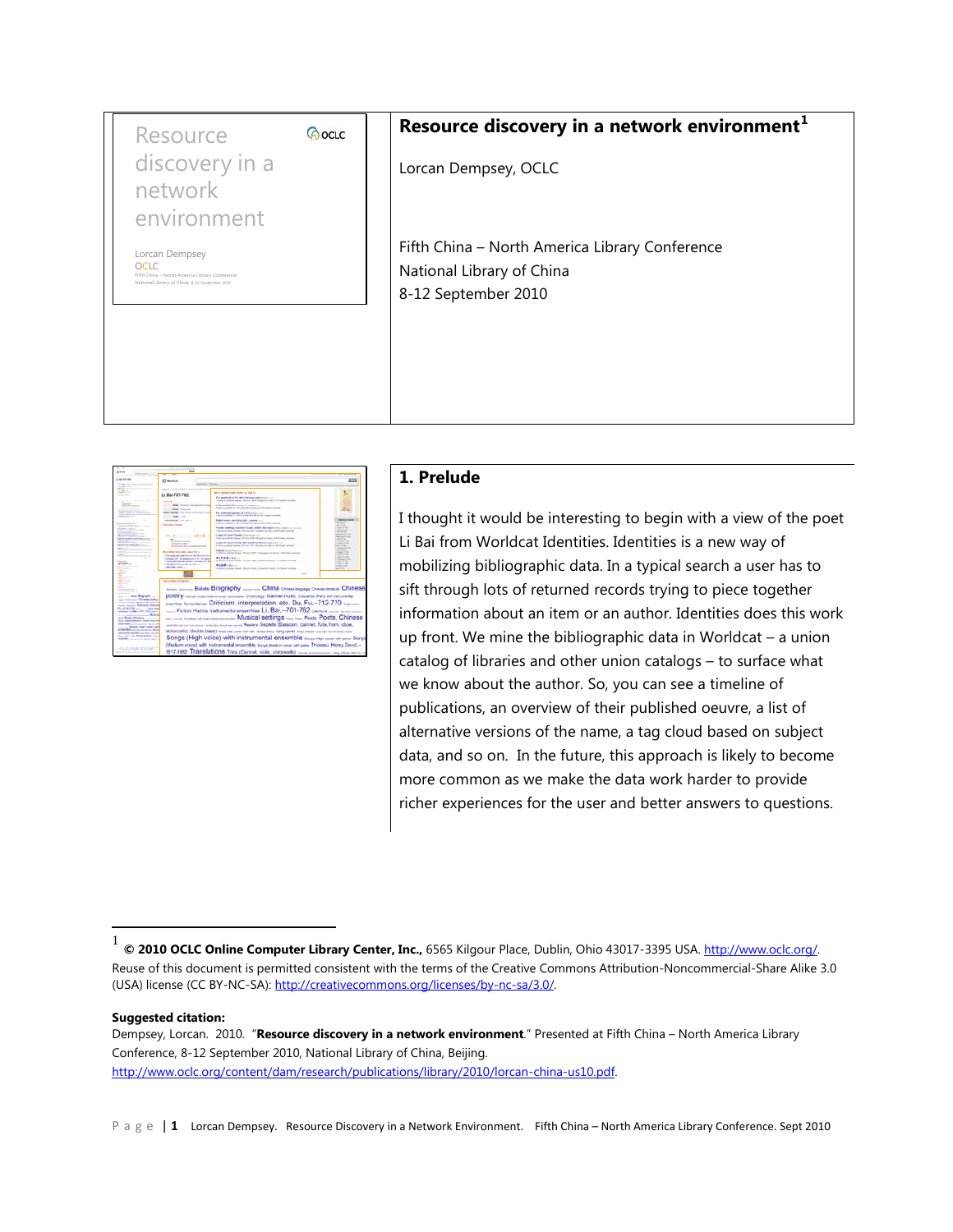| Resource                                                                        | <b><i>CocLC</i></b> | Resource discovery in a network environment <sup>1</sup> |
|---------------------------------------------------------------------------------|---------------------|----------------------------------------------------------|
| discovery in a                                                                  |                     | Lorcan Dempsey, OCLC                                     |
| network                                                                         |                     |                                                          |
| environment                                                                     |                     | Fifth China - North America Library Conference           |
| Lorcan Dempsey<br><b>OCLC</b><br>Fifth China - North America Library Conference |                     | National Library of China                                |
| National Library of China, 8-12 September 2010                                  |                     | 8-12 September 2010                                      |
|                                                                                 |                     |                                                          |
|                                                                                 |                     |                                                          |
|                                                                                 |                     |                                                          |



## **1. Prelude**

I thought it would be interesting to begin with a view of the poet Li Bai from Worldcat Identities. Identities is a new way of mobilizing bibliographic data. In a typical search a user has to sift through lots of returned records trying to piece together information about an item or an author. Identities does this work up front. We mine the bibliographic data in Worldcat – a union catalog of libraries and other union catalogs – to surface what we know about the author. So, you can see a timeline of publications, an overview of their published oeuvre, a list of alternative versions of the name, a tag cloud based on subject data, and so on. In the future, this approach is likely to become more common as we make the data work harder to provide richer experiences for the user and better answers to questions.

**Suggested citation:**

Dempsey, Lorcan. 2010. "**Resource discovery in a network environment**." Presented at Fifth China – North America Library Conference, 8-12 September 2010, National Library of China, Beijing. [http://www.oclc.org/content/dam/research/publications/library/2010/lorcan-china-us10.pdf.](http://www.oclc.org/content/dam/research/publications/library/2010/lorcan-china-us10.pdf) 

Page | 1 Lorcan Dempsey. Resource Discovery in a Network Environment. Fifth China – North America Library Conference. Sept 2010

<span id="page-0-0"></span>1 **© 2010 OCLC Online Computer Library Center, Inc.,** 6565 Kilgour Place, Dublin, Ohio 43017-3395 USA[. http://www.oclc.org/.](http://www.oclc.org/) Reuse of this document is permitted consistent with the terms of the Creative Commons Attribution-Noncommercial-Share Alike 3.0 (USA) license (CC BY-NC-SA)[: http://creativecommons.org/licenses/by-nc-sa/3.0/.](http://creativecommons.org/licenses/by-nc-sa/3.0/)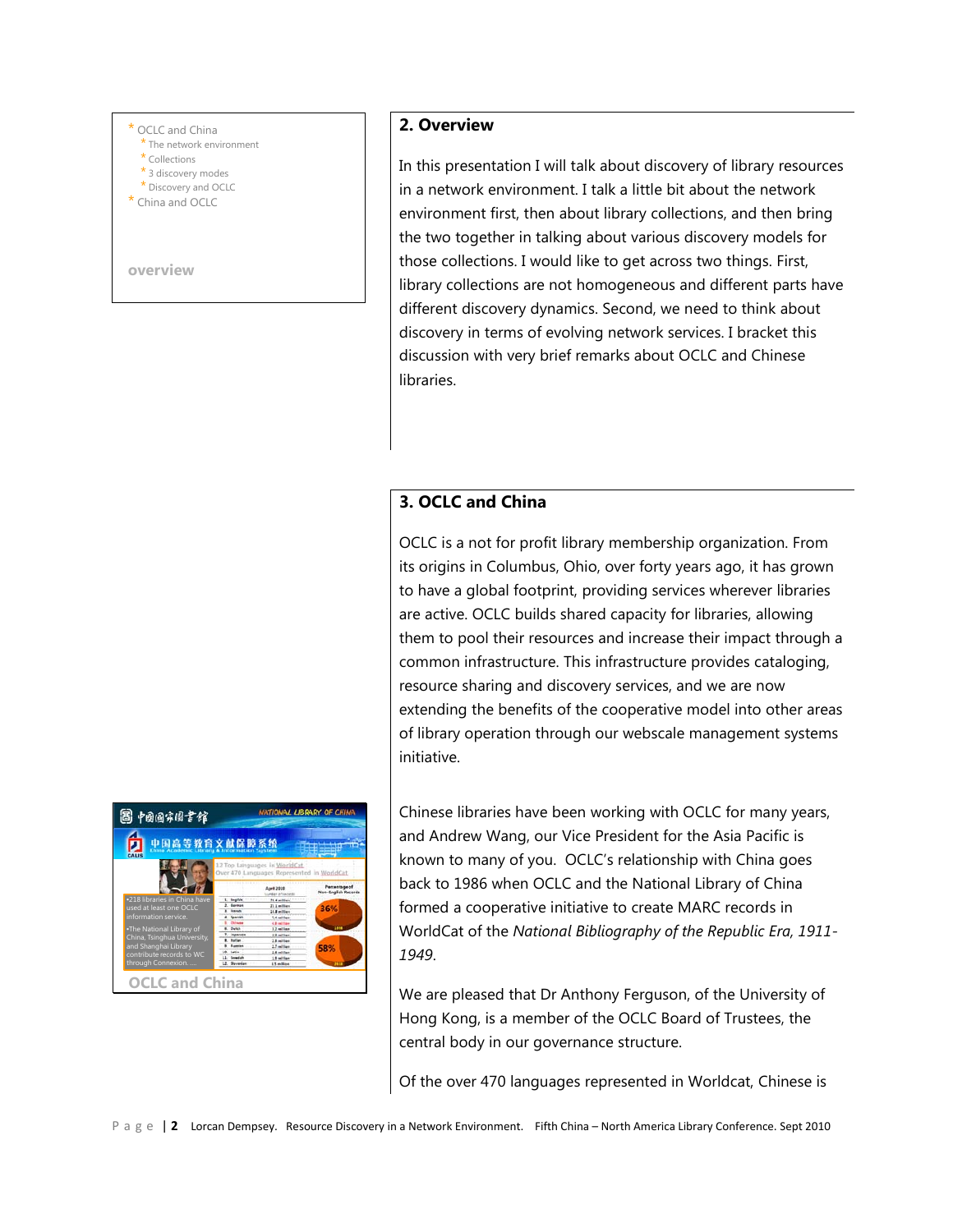#### OCLC and China

- \* The network environment
- \* Collections
- \* 3 discovery modes \* Discovery and OCLC
- \* China and OCLC

**overview**

# **TONAL LIBRARY OF CHI** 国 中国国宗国書館 文献保障系统 •218 libraries in China have used at least one OCLC information service. •The National Library of China, Tsinghua University, and Shanghai Library through Connexion. ….

**OCLC and China**

## **2. Overview**

In this presentation I will talk about discovery of library resources in a network environment. I talk a little bit about the network environment first, then about library collections, and then bring the two together in talking about various discovery models for those collections. I would like to get across two things. First, library collections are not homogeneous and different parts have different discovery dynamics. Second, we need to think about discovery in terms of evolving network services. I bracket this discussion with very brief remarks about OCLC and Chinese libraries.

## **3. OCLC and China**

OCLC is a not for profit library membership organization. From its origins in Columbus, Ohio, over forty years ago, it has grown to have a global footprint, providing services wherever libraries are active. OCLC builds shared capacity for libraries, allowing them to pool their resources and increase their impact through a common infrastructure. This infrastructure provides cataloging, resource sharing and discovery services, and we are now extending the benefits of the cooperative model into other areas of library operation through our webscale management systems initiative.

Chinese libraries have been working with OCLC for many years, and Andrew Wang, our Vice President for the Asia Pacific is known to many of you. OCLC's relationship with China goes back to 1986 when OCLC and the National Library of China formed a cooperative initiative to create MARC records in WorldCat of the *National Bibliography of the Republic Era, 1911- 1949*.

We are pleased that Dr Anthony Ferguson, of the University of Hong Kong, is a member of the OCLC Board of Trustees, the central body in our governance structure.

Of the over 470 languages represented in Worldcat, Chinese is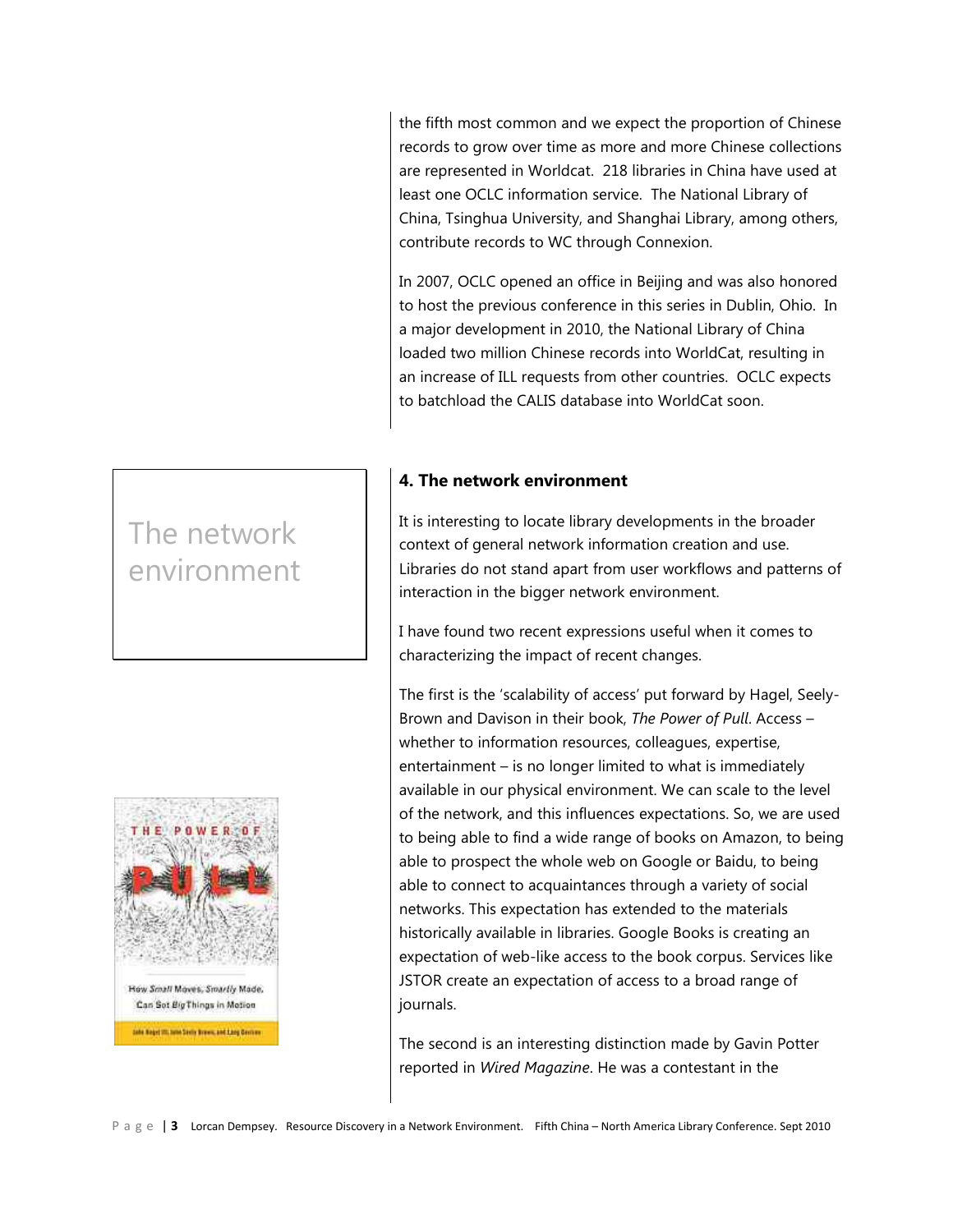the fifth most common and we expect the proportion of Chinese records to grow over time as more and more Chinese collections are represented in Worldcat. 218 libraries in China have used at least one OCLC information service. The National Library of China, Tsinghua University, and Shanghai Library, among others, contribute records to WC through Connexion.

In 2007, OCLC opened an office in Beijing and was also honored to host the previous conference in this series in Dublin, Ohio. In a major development in 2010, the National Library of China loaded two million Chinese records into WorldCat, resulting in an increase of ILL requests from other countries. OCLC expects to batchload the CALIS database into WorldCat soon.

# **4. The network environment**

It is interesting to locate library developments in the broader context of general network information creation and use. Libraries do not stand apart from user workflows and patterns of interaction in the bigger network environment.

I have found two recent expressions useful when it comes to characterizing the impact of recent changes.

The first is the 'scalability of access' put forward by Hagel, Seely-Brown and Davison in their book, *The Power of Pull*. Access – whether to information resources, colleagues, expertise, entertainment – is no longer limited to what is immediately available in our physical environment. We can scale to the level of the network, and this influences expectations. So, we are used to being able to find a wide range of books on Amazon, to being able to prospect the whole web on Google or Baidu, to being able to connect to acquaintances through a variety of social networks. This expectation has extended to the materials historically available in libraries. Google Books is creating an expectation of web-like access to the book corpus. Services like JSTOR create an expectation of access to a broad range of journals.

The second is an interesting distinction made by Gavin Potter reported in *Wired Magazine*. He was a contestant in the

# The network environment

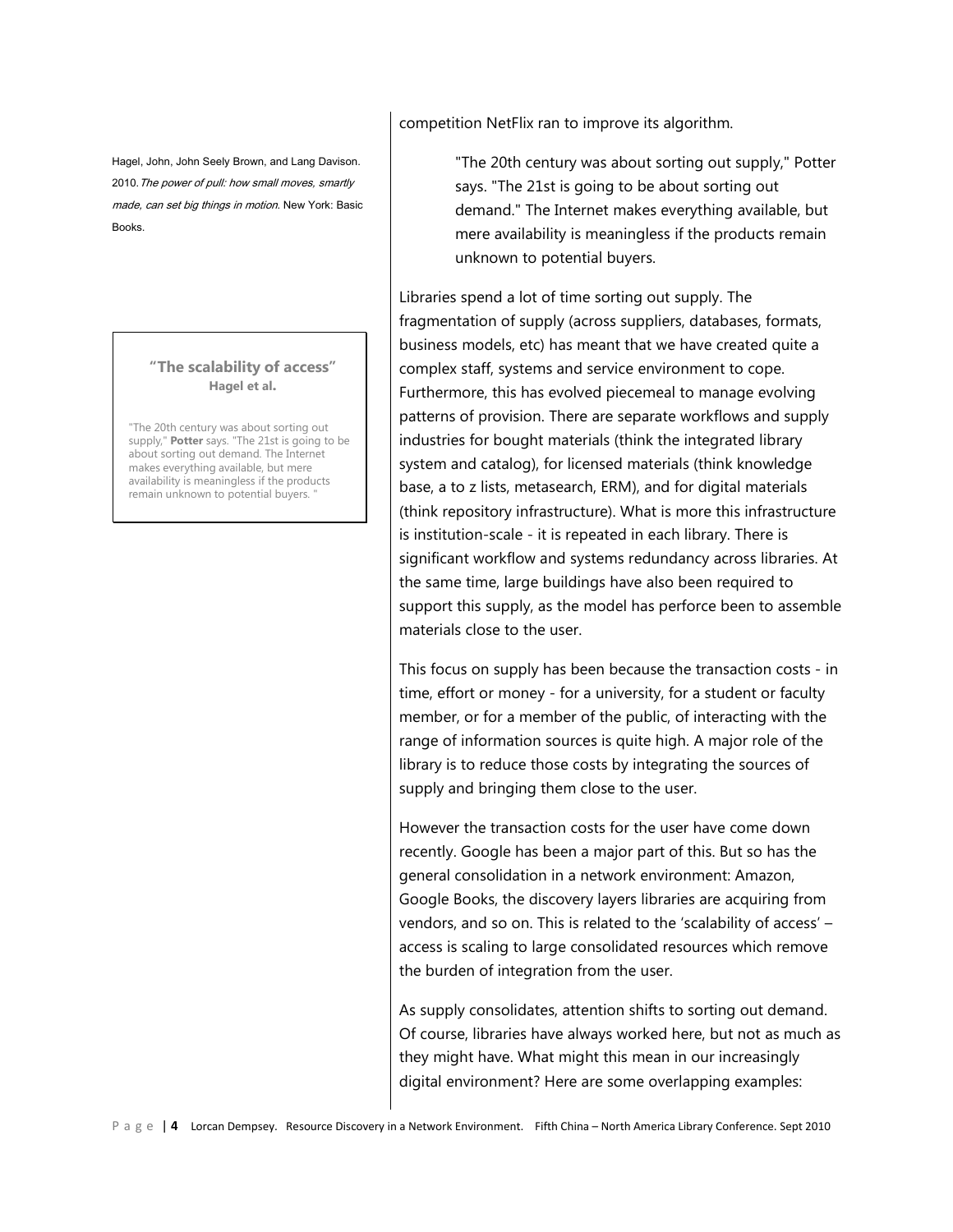Hagel, John, John Seely Brown, and Lang Davison. 2010. The power of pull: how small moves, smartly made, can set big things in motion. New York: Basic Books.

### **"The scalability of access" Hagel et al.**

"The 20th century was about sorting out supply," **Potter** says. "The 21st is going to be about sorting out demand. The Internet makes everything available, but mere availability is meaningless if the products remain unknown to potential buyers.

competition NetFlix ran to improve its algorithm.

"The 20th century was about sorting out supply," Potter says. "The 21st is going to be about sorting out demand." The Internet makes everything available, but mere availability is meaningless if the products remain unknown to potential buyers.

Libraries spend a lot of time sorting out supply. The fragmentation of supply (across suppliers, databases, formats, business models, etc) has meant that we have created quite a complex staff, systems and service environment to cope. Furthermore, this has evolved piecemeal to manage evolving patterns of provision. There are separate workflows and supply industries for bought materials (think the integrated library system and catalog), for licensed materials (think knowledge base, a to z lists, metasearch, ERM), and for digital materials (think repository infrastructure). What is more this infrastructure is institution-scale - it is repeated in each library. There is significant workflow and systems redundancy across libraries. At the same time, large buildings have also been required to support this supply, as the model has perforce been to assemble materials close to the user.

This focus on supply has been because the transaction costs - in time, effort or money - for a university, for a student or faculty member, or for a member of the public, of interacting with the range of information sources is quite high. A major role of the library is to reduce those costs by integrating the sources of supply and bringing them close to the user.

However the transaction costs for the user have come down recently. Google has been a major part of this. But so has the general consolidation in a network environment: Amazon, Google Books, the discovery layers libraries are acquiring from vendors, and so on. This is related to the 'scalability of access' – access is scaling to large consolidated resources which remove the burden of integration from the user.

As supply consolidates, attention shifts to sorting out demand. Of course, libraries have always worked here, but not as much as they might have. What might this mean in our increasingly digital environment? Here are some overlapping examples: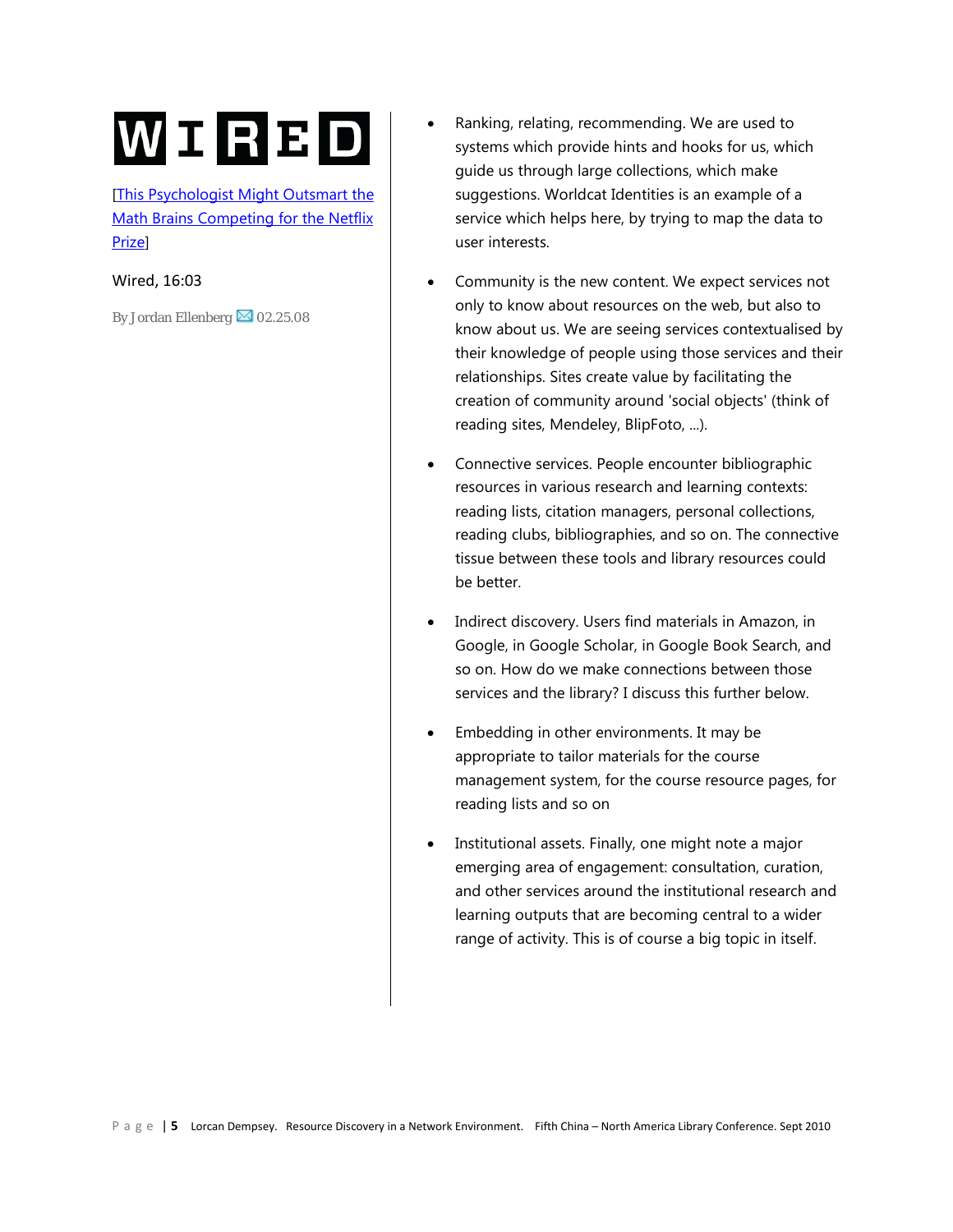# WIRBD

[This Psychologist Might Outsmart the [Math Brains Competing for the Netflix](http://www.wired.com/techbiz/media/magazine/16-03/mf_netflix?currentPage=1)  [Prize\]](http://www.wired.com/techbiz/media/magazine/16-03/mf_netflix?currentPage=1)

Wired, 16:03

By Jordan Ellenberg  $\boxtimes$  [0](http://www.wired.com/services/feedback/letterstoeditor)2.25.08

- Ranking, relating, recommending. We are used to systems which provide hints and hooks for us, which guide us through large collections, which make suggestions. Worldcat Identities is an example of a service which helps here, by trying to map the data to user interests.
- Community is the new content. We expect services not only to know about resources on the web, but also to know about us. We are seeing services contextualised by their knowledge of people using those services and their relationships. Sites create value by facilitating the creation of community around 'social objects' (think of reading sites, Mendeley, BlipFoto, ...).
- Connective services. People encounter bibliographic resources in various research and learning contexts: reading lists, citation managers, personal collections, reading clubs, bibliographies, and so on. The connective tissue between these tools and library resources could be better.
- Indirect discovery. Users find materials in Amazon, in Google, in Google Scholar, in Google Book Search, and so on. How do we make connections between those services and the library? I discuss this further below.
- Embedding in other environments. It may be appropriate to tailor materials for the course management system, for the course resource pages, for reading lists and so on
- Institutional assets. Finally, one might note a major emerging area of engagement: consultation, curation, and other services around the institutional research and learning outputs that are becoming central to a wider range of activity. This is of course a big topic in itself.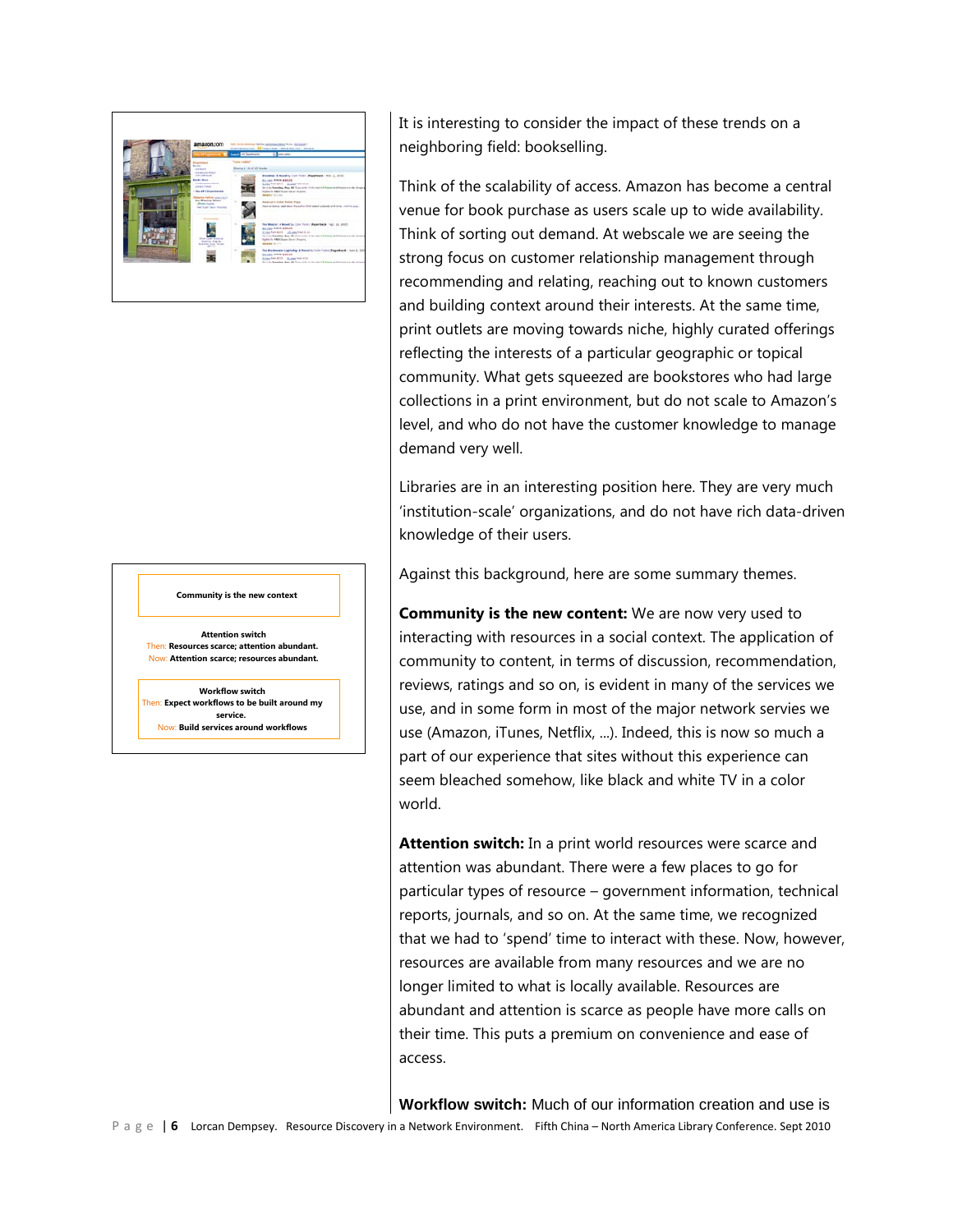

#### **Community is the new context**

**Attention switch** Then: **Resources scarce; attention abundant.**  Now: **Attention scarce; resources abundant.**

**Workflow switch** Then: **Expect workflows to be built around my service.** 

Now: **Build services around workflows**

It is interesting to consider the impact of these trends on a neighboring field: bookselling.

Think of the scalability of access. Amazon has become a central venue for book purchase as users scale up to wide availability. Think of sorting out demand. At webscale we are seeing the strong focus on customer relationship management through recommending and relating, reaching out to known customers and building context around their interests. At the same time, print outlets are moving towards niche, highly curated offerings reflecting the interests of a particular geographic or topical community. What gets squeezed are bookstores who had large collections in a print environment, but do not scale to Amazon's level, and who do not have the customer knowledge to manage demand very well.

Libraries are in an interesting position here. They are very much 'institution-scale' organizations, and do not have rich data-driven knowledge of their users.

Against this background, here are some summary themes.

**Community is the new content:** We are now very used to interacting with resources in a social context. The application of community to content, in terms of discussion, recommendation, reviews, ratings and so on, is evident in many of the services we use, and in some form in most of the major network servies we use (Amazon, iTunes, Netflix, ...). Indeed, this is now so much a part of our experience that sites without this experience can seem bleached somehow, like black and white TV in a color world.

**Attention switch:** In a print world resources were scarce and attention was abundant. There were a few places to go for particular types of resource – government information, technical reports, journals, and so on. At the same time, we recognized that we had to 'spend' time to interact with these. Now, however, resources are available from many resources and we are no longer limited to what is locally available. Resources are abundant and attention is scarce as people have more calls on their time. This puts a premium on convenience and ease of access.

**Workflow switch:** Much of our information creation and use is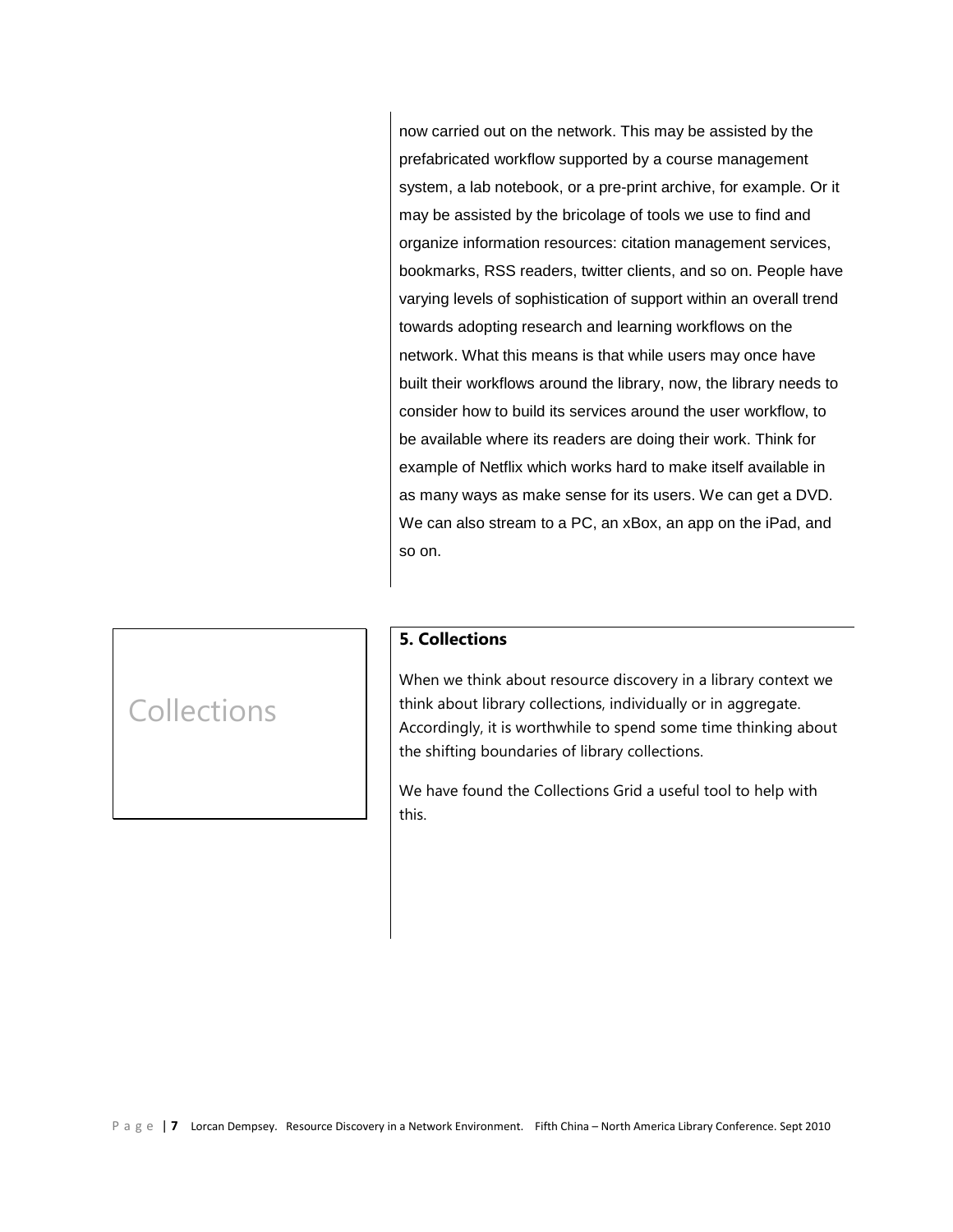now carried out on the network. This may be assisted by the prefabricated workflow supported by a course management system, a lab notebook, or a pre-print archive, for example. Or it may be assisted by the bricolage of tools we use to find and organize information resources: citation management services, bookmarks, RSS readers, twitter clients, and so on. People have varying levels of sophistication of support within an overall trend towards adopting research and learning workflows on the network. What this means is that while users may once have built their workflows around the library, now, the library needs to consider how to build its services around the user workflow, to be available where its readers are doing their work. Think for example of Netflix which works hard to make itself available in as many ways as make sense for its users. We can get a DVD. We can also stream to a PC, an xBox, an app on the iPad, and so on.

# **5. Collections**

When we think about resource discovery in a library context we think about library collections, individually or in aggregate. Accordingly, it is worthwhile to spend some time thinking about the shifting boundaries of library collections.

We have found the Collections Grid a useful tool to help with this.

# Collections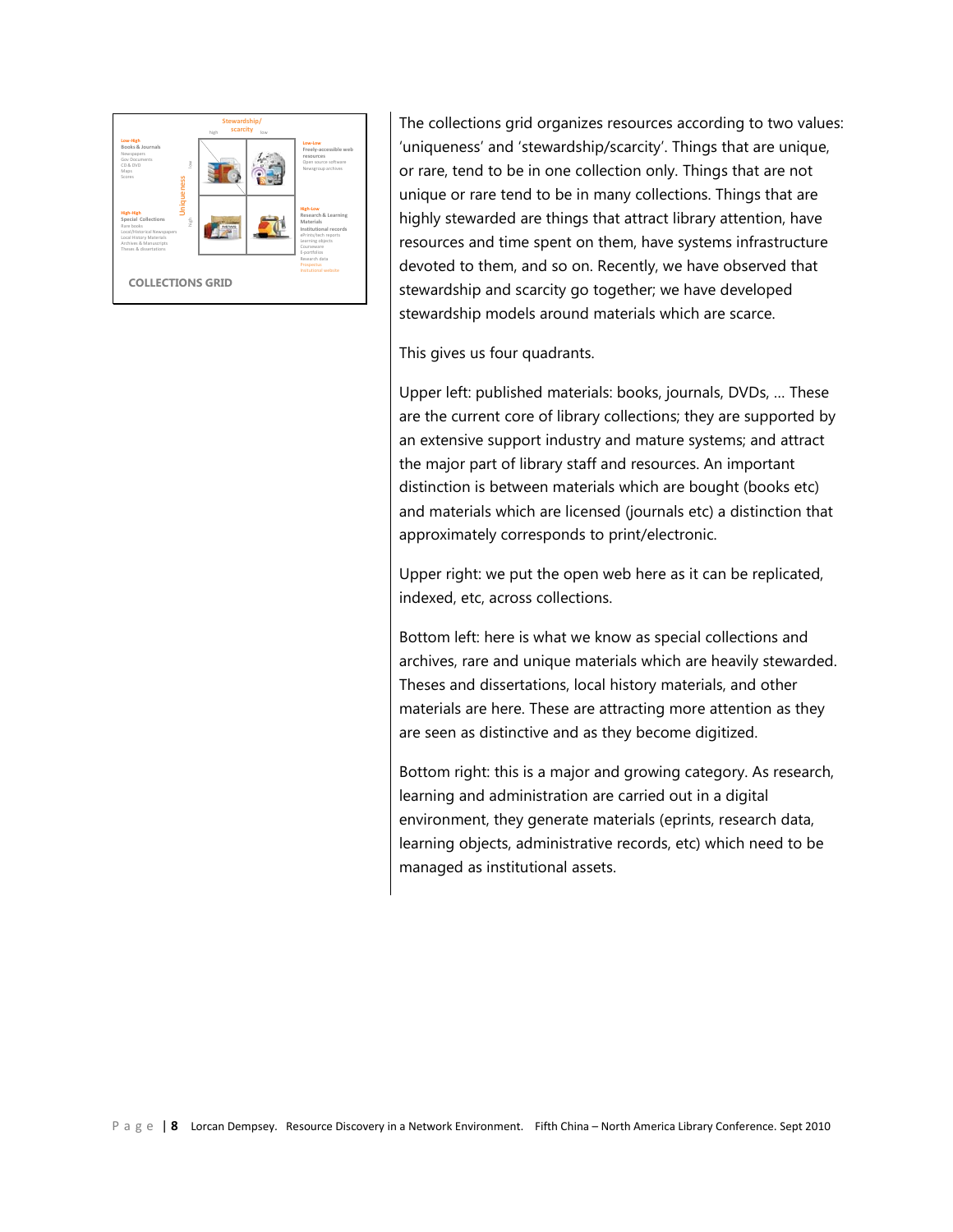

The collections grid organizes resources according to two values: 'uniqueness' and 'stewardship/scarcity'. Things that are unique, or rare, tend to be in one collection only. Things that are not unique or rare tend to be in many collections. Things that are highly stewarded are things that attract library attention, have resources and time spent on them, have systems infrastructure devoted to them, and so on. Recently, we have observed that stewardship and scarcity go together; we have developed stewardship models around materials which are scarce.

This gives us four quadrants.

Upper left: published materials: books, journals, DVDs, … These are the current core of library collections; they are supported by an extensive support industry and mature systems; and attract the major part of library staff and resources. An important distinction is between materials which are bought (books etc) and materials which are licensed (journals etc) a distinction that approximately corresponds to print/electronic.

Upper right: we put the open web here as it can be replicated, indexed, etc, across collections.

Bottom left: here is what we know as special collections and archives, rare and unique materials which are heavily stewarded. Theses and dissertations, local history materials, and other materials are here. These are attracting more attention as they are seen as distinctive and as they become digitized.

Bottom right: this is a major and growing category. As research, learning and administration are carried out in a digital environment, they generate materials (eprints, research data, learning objects, administrative records, etc) which need to be managed as institutional assets.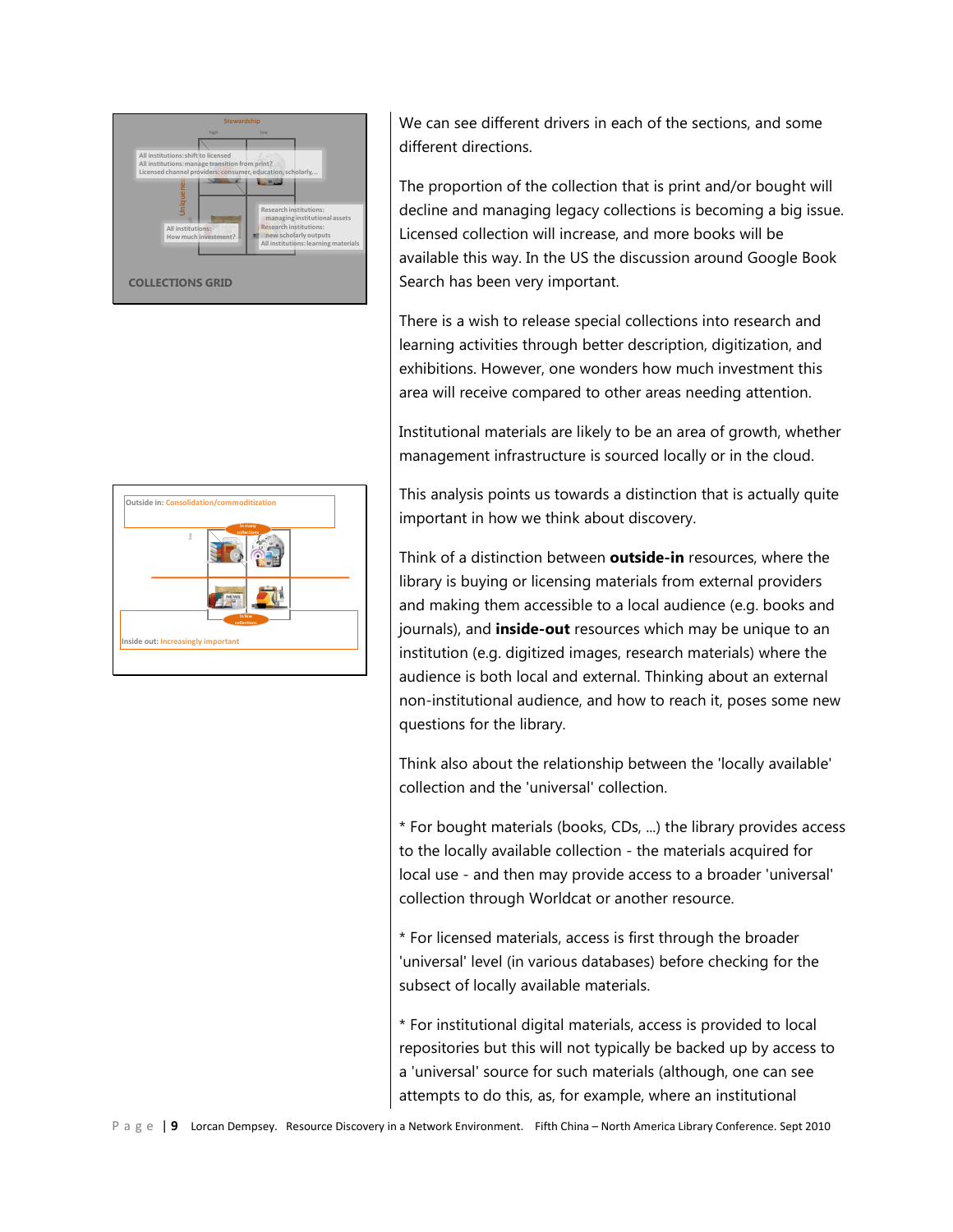

|  | low |              | collections |  |
|--|-----|--------------|-------------|--|
|  |     | <b>NEVVS</b> |             |  |

We can see different drivers in each of the sections, and some different directions.

The proportion of the collection that is print and/or bought will decline and managing legacy collections is becoming a big issue. Licensed collection will increase, and more books will be available this way. In the US the discussion around Google Book Search has been very important.

There is a wish to release special collections into research and learning activities through better description, digitization, and exhibitions. However, one wonders how much investment this area will receive compared to other areas needing attention.

Institutional materials are likely to be an area of growth, whether management infrastructure is sourced locally or in the cloud.

This analysis points us towards a distinction that is actually quite important in how we think about discovery.

Think of a distinction between **outside-in** resources, where the library is buying or licensing materials from external providers and making them accessible to a local audience (e.g. books and journals), and **inside-out** resources which may be unique to an institution (e.g. digitized images, research materials) where the audience is both local and external. Thinking about an external non-institutional audience, and how to reach it, poses some new questions for the library.

Think also about the relationship between the 'locally available' collection and the 'universal' collection.

\* For bought materials (books, CDs, ...) the library provides access to the locally available collection - the materials acquired for local use - and then may provide access to a broader 'universal' collection through Worldcat or another resource.

\* For licensed materials, access is first through the broader 'universal' level (in various databases) before checking for the subsect of locally available materials.

\* For institutional digital materials, access is provided to local repositories but this will not typically be backed up by access to a 'universal' source for such materials (although, one can see attempts to do this, as, for example, where an institutional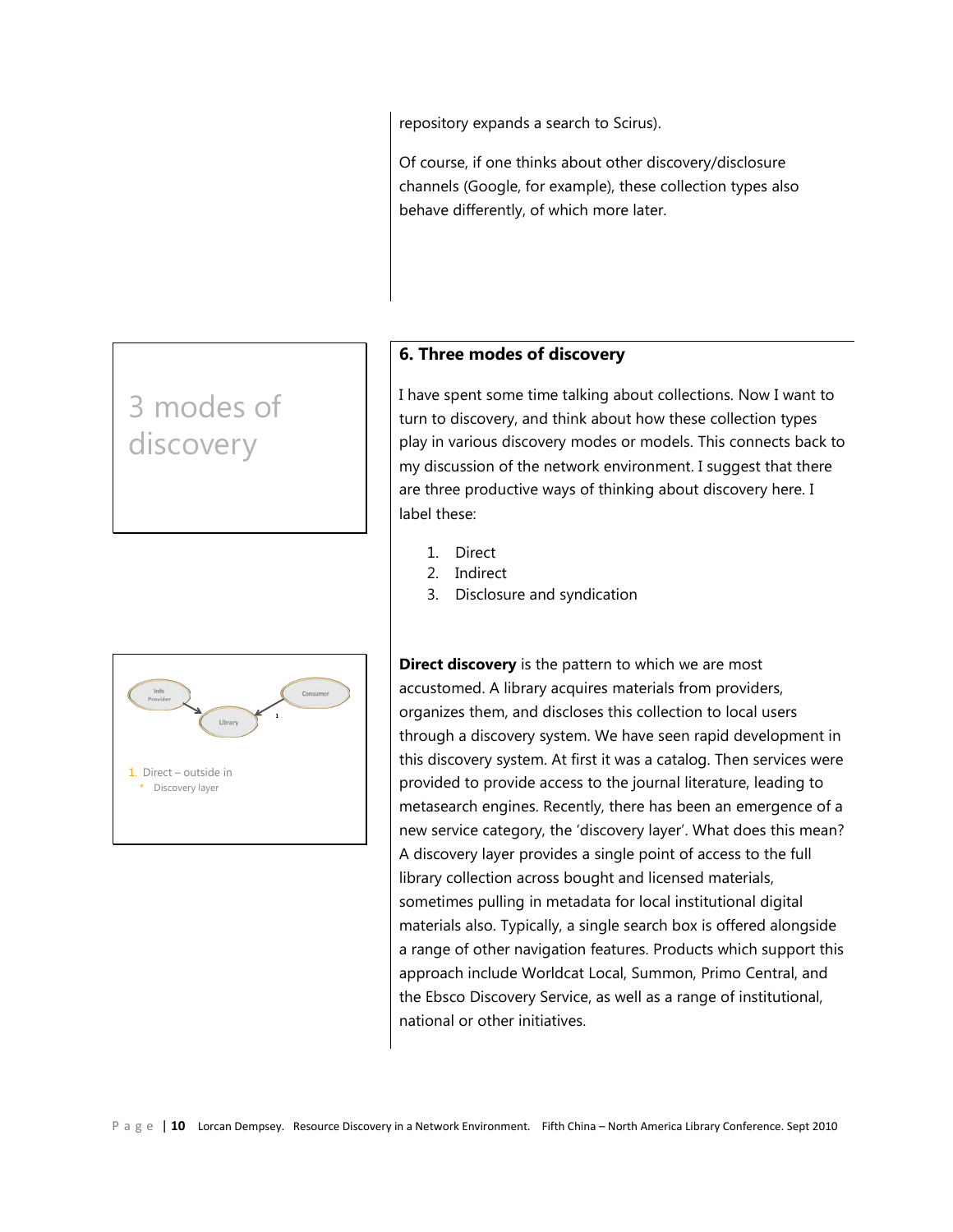repository expands a search to Scirus).

Of course, if one thinks about other discovery/disclosure channels (Google, for example), these collection types also behave differently, of which more later.

# 3 modes of discovery



# **6. Three modes of discovery**

I have spent some time talking about collections. Now I want to turn to discovery, and think about how these collection types play in various discovery modes or models. This connects back to my discussion of the network environment. I suggest that there are three productive ways of thinking about discovery here. I label these:

- 1. Direct
- 2. Indirect
- 3. Disclosure and syndication

**Direct discovery** is the pattern to which we are most accustomed. A library acquires materials from providers, organizes them, and discloses this collection to local users through a discovery system. We have seen rapid development in this discovery system. At first it was a catalog. Then services were provided to provide access to the journal literature, leading to metasearch engines. Recently, there has been an emergence of a new service category, the 'discovery layer'. What does this mean? A discovery layer provides a single point of access to the full library collection across bought and licensed materials, sometimes pulling in metadata for local institutional digital materials also. Typically, a single search box is offered alongside a range of other navigation features. Products which support this approach include Worldcat Local, Summon, Primo Central, and the Ebsco Discovery Service, as well as a range of institutional, national or other initiatives.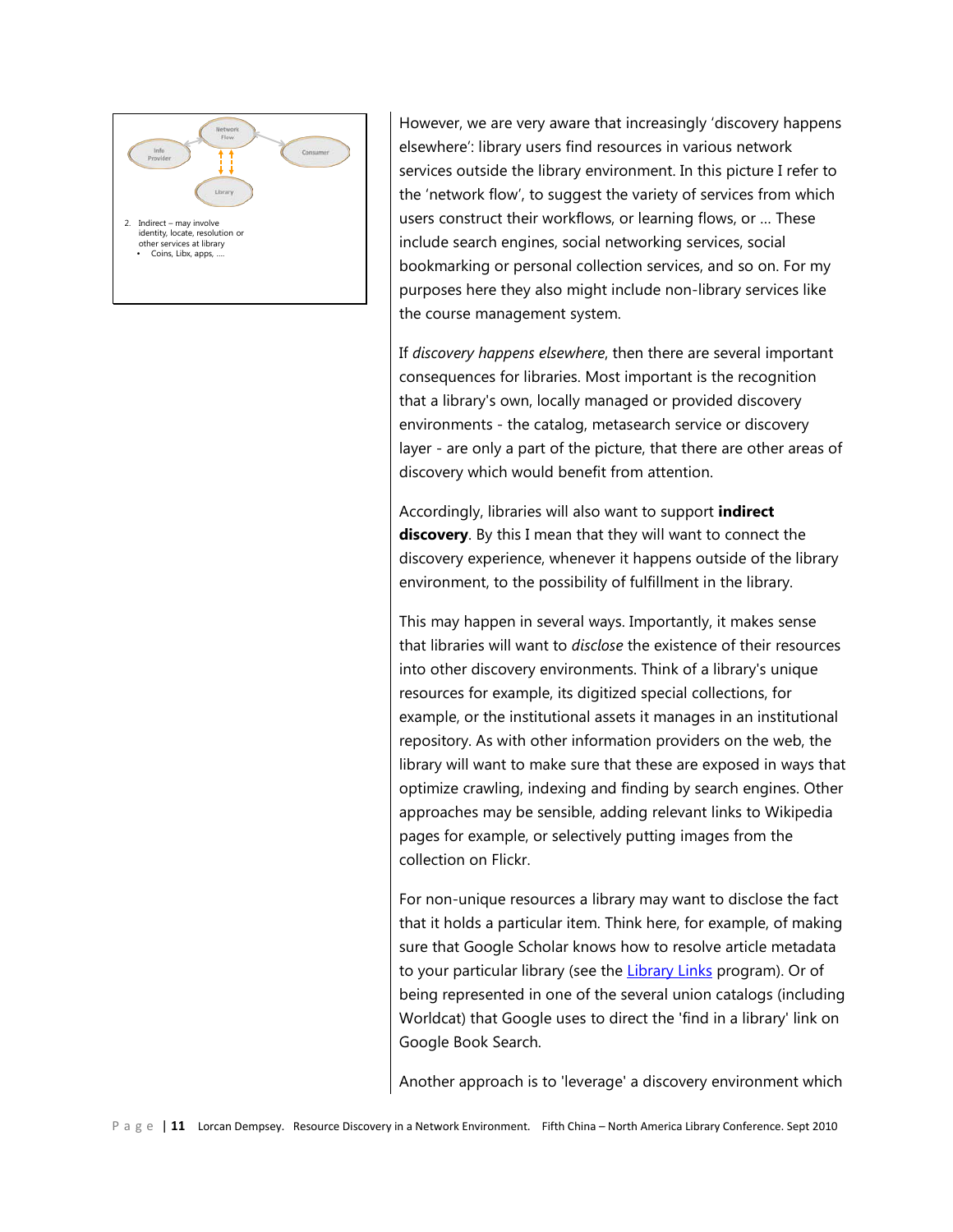

However, we are very aware that increasingly 'discovery happens elsewhere': library users find resources in various network services outside the library environment. In this picture I refer to the 'network flow', to suggest the variety of services from which users construct their workflows, or learning flows, or … These include search engines, social networking services, social bookmarking or personal collection services, and so on. For my purposes here they also might include non-library services like the course management system.

If *discovery happens elsewhere*, then there are several important consequences for libraries. Most important is the recognition that a library's own, locally managed or provided discovery environments - the catalog, metasearch service or discovery layer - are only a part of the picture, that there are other areas of discovery which would benefit from attention.

Accordingly, libraries will also want to support **indirect discovery**. By this I mean that they will want to connect the discovery experience, whenever it happens outside of the library environment, to the possibility of fulfillment in the library.

This may happen in several ways. Importantly, it makes sense that libraries will want to *disclose* the existence of their resources into other discovery environments. Think of a library's unique resources for example, its digitized special collections, for example, or the institutional assets it manages in an institutional repository. As with other information providers on the web, the library will want to make sure that these are exposed in ways that optimize crawling, indexing and finding by search engines. Other approaches may be sensible, adding relevant links to Wikipedia pages for example, or selectively putting images from the collection on Flickr.

For non-unique resources a library may want to disclose the fact that it holds a particular item. Think here, for example, of making sure that Google Scholar knows how to resolve article metadata to your particular library (see the [Library Links](http://scholar.google.com/intl/en/scholar/libraries.html) program). Or of being represented in one of the several union catalogs (including Worldcat) that Google uses to direct the 'find in a library' link on Google Book Search.

Another approach is to 'leverage' a discovery environment which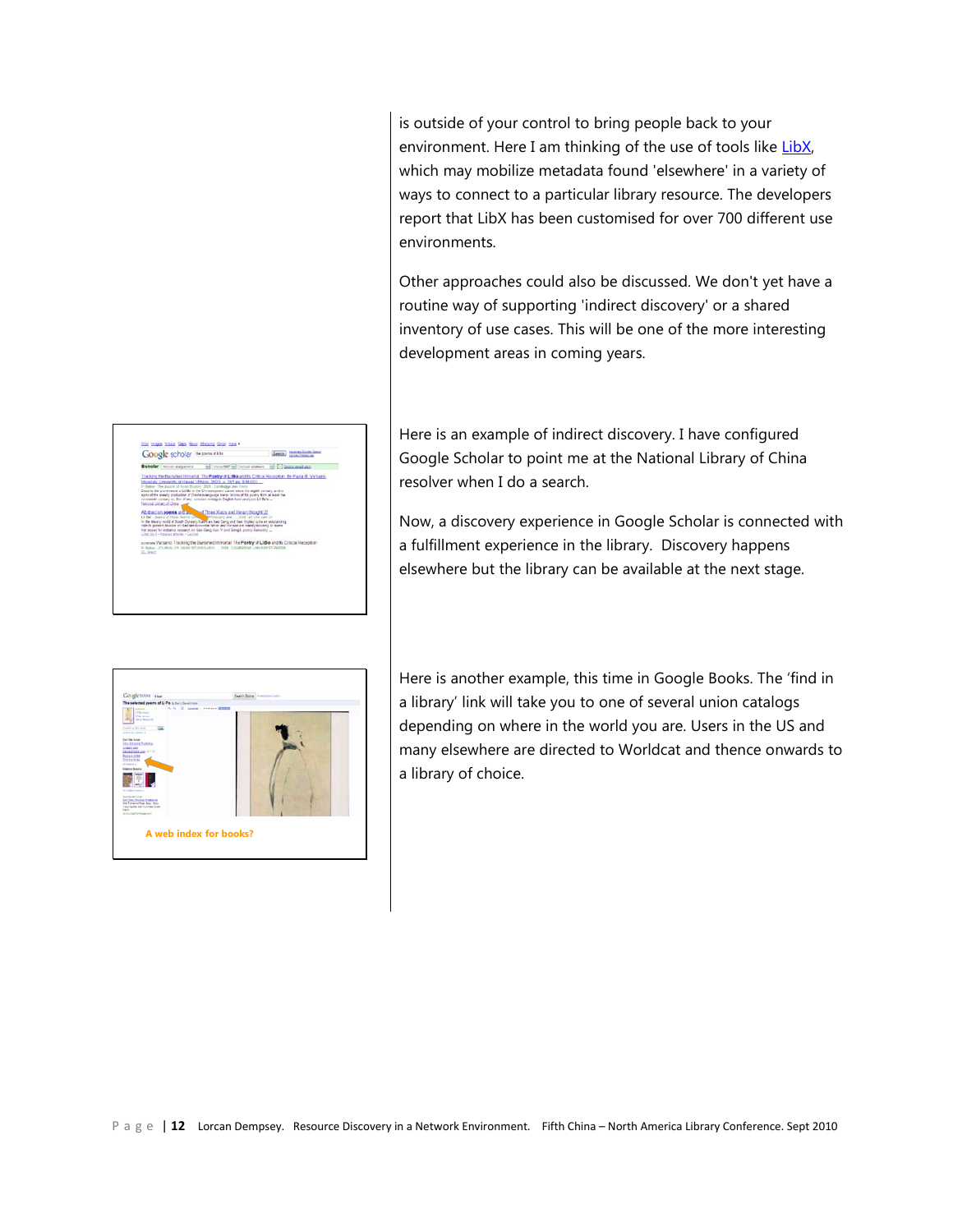is outside of your control to bring people back to your environment. Here I am thinking of the use of tools like LibX, which may mobilize metadata found 'elsewhere' in a variety of ways to connect to a particular library resource. The developers report that LibX has been customised for over 700 different use environments.

Other approaches could also be discussed. We don't yet have a routine way of supporting 'indirect discovery' or a shared inventory of use cases. This will be one of the more interesting development areas in coming years.

Here is an example of indirect discovery. I have configured Google Scholar to point me at the National Library of China resolver when I do a search.

Now, a discovery experience in Google Scholar is connected with a fulfillment experience in the library. Discovery happens elsewhere but the library can be available at the next stage.



Google scholar manufatte

Scholar | Moter aufgebets | [m] | security("m) | letter states | [m] [m] Command and Introduit The Powing of LLBo and its Crimes Nacepton, the Pacis M. Va.<br>Name: Photos, 2003 × 201 to 140 (0) LEBs in the Chinese poetic cancel siece the eighth century, and in<br>law of thestels-barguage state-latines of his poety torn at least the and litter Xiaos and literary Rought (J)<br>(XXX) a New Gregorithme Video color and<br>(XXX) a New Gregorithme Video color and and Tracking the Barished Immoral The Poetry of Li Bo and to Critical Receptor<br>Rick, or wave Studers was - 2014, columnized University Paints

Glassic committees

Here is another example, this time in Google Books. The 'find in a library' link will take you to one of several union catalogs depending on where in the world you are. Users in the US and many elsewhere are directed to Worldcat and thence onwards to a library of choice.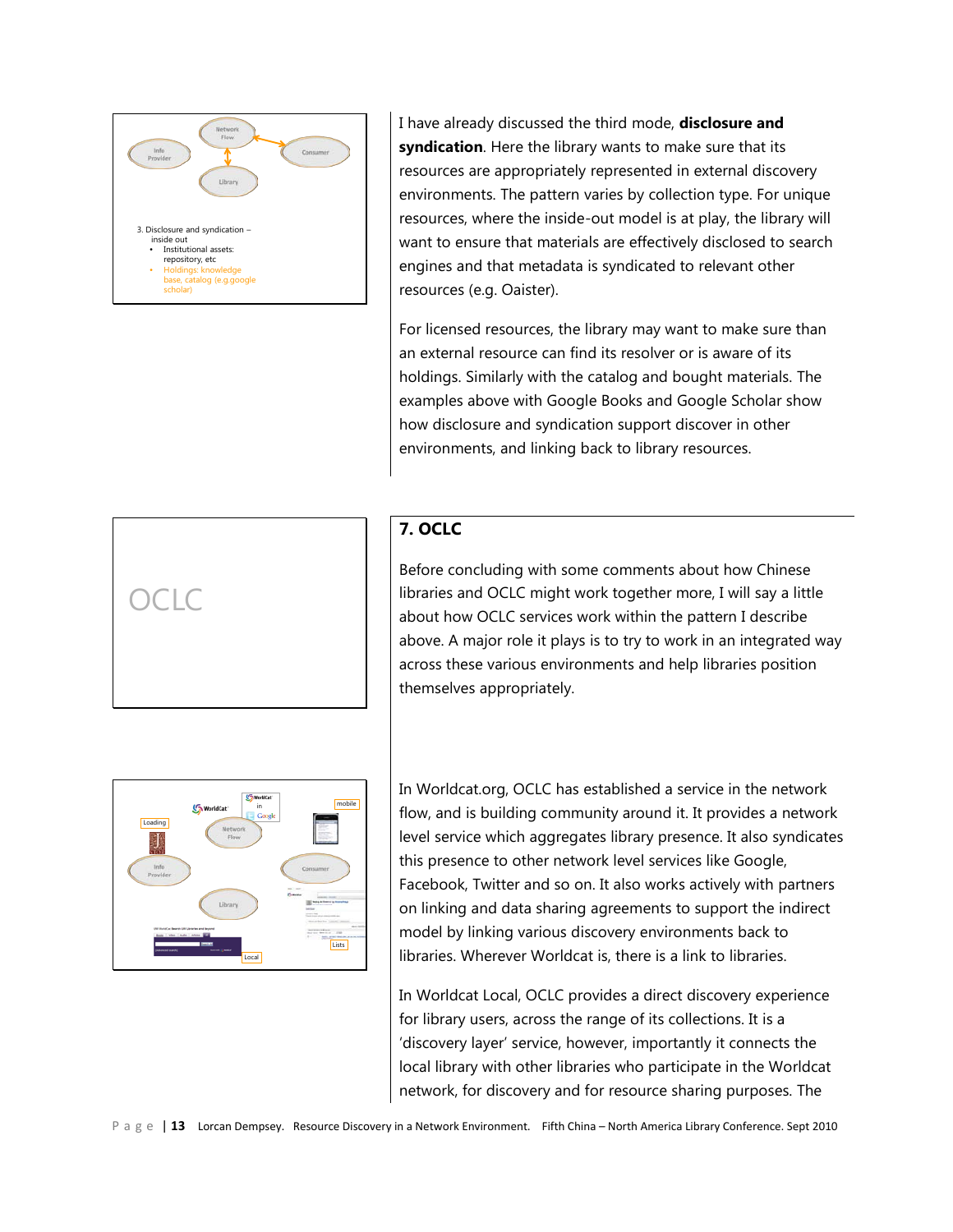

I have already discussed the third mode, **disclosure and syndication**. Here the library wants to make sure that its resources are appropriately represented in external discovery environments. The pattern varies by collection type. For unique resources, where the inside-out model is at play, the library will want to ensure that materials are effectively disclosed to search engines and that metadata is syndicated to relevant other resources (e.g. Oaister).

For licensed resources, the library may want to make sure than an external resource can find its resolver or is aware of its holdings. Similarly with the catalog and bought materials. The examples above with Google Books and Google Scholar show how disclosure and syndication support discover in other environments, and linking back to library resources.



# **7. OCLC**

Before concluding with some comments about how Chinese libraries and OCLC might work together more, I will say a little about how OCLC services work within the pattern I describe above. A major role it plays is to try to work in an integrated way across these various environments and help libraries position themselves appropriately.



In Worldcat.org, OCLC has established a service in the network flow, and is building community around it. It provides a network level service which aggregates library presence. It also syndicates this presence to other network level services like Google, Facebook, Twitter and so on. It also works actively with partners on linking and data sharing agreements to support the indirect model by linking various discovery environments back to libraries. Wherever Worldcat is, there is a link to libraries.

In Worldcat Local, OCLC provides a direct discovery experience for library users, across the range of its collections. It is a 'discovery layer' service, however, importantly it connects the local library with other libraries who participate in the Worldcat network, for discovery and for resource sharing purposes. The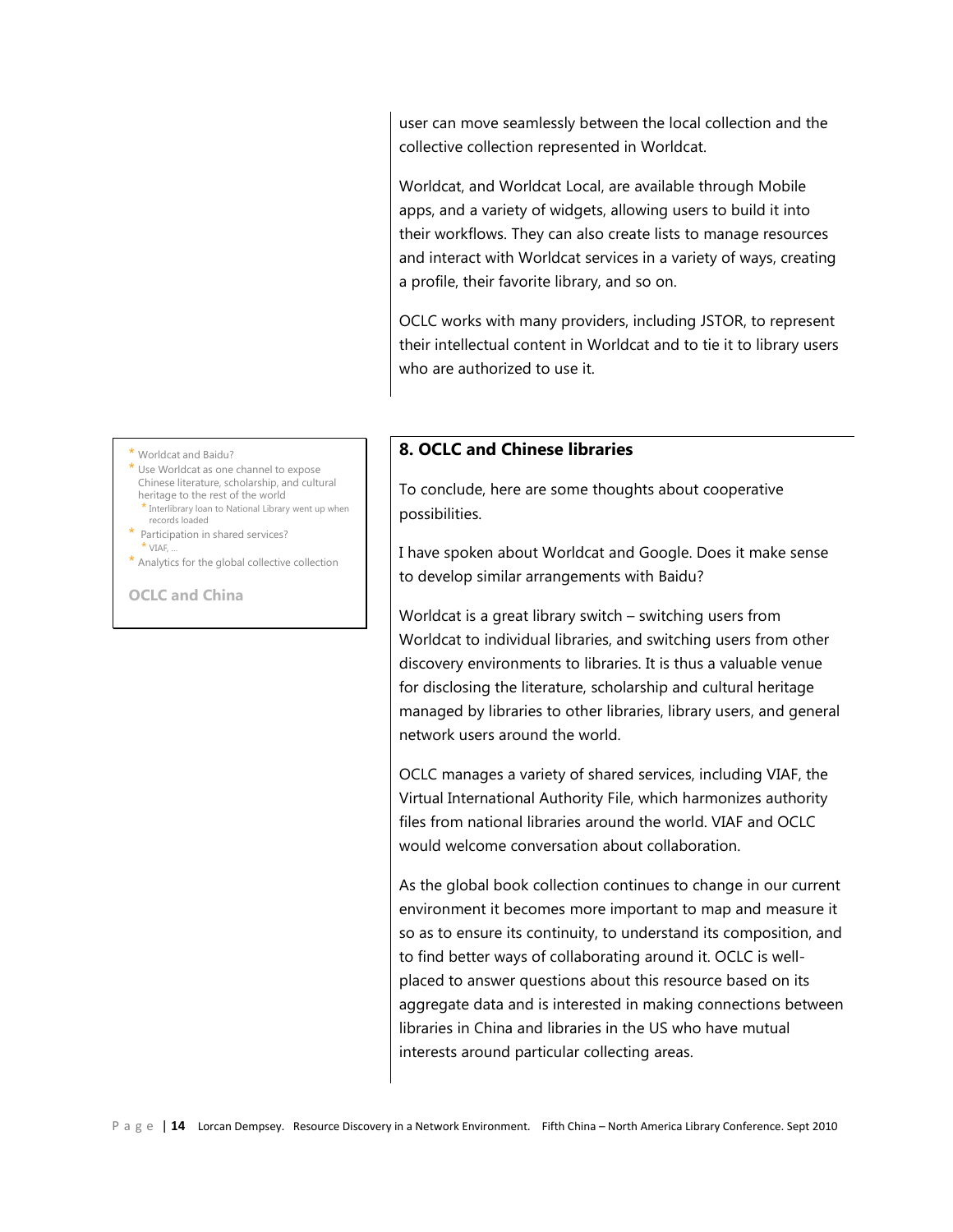user can move seamlessly between the local collection and the collective collection represented in Worldcat.

Worldcat, and Worldcat Local, are available through Mobile apps, and a variety of widgets, allowing users to build it into their workflows. They can also create lists to manage resources and interact with Worldcat services in a variety of ways, creating a profile, their favorite library, and so on.

OCLC works with many providers, including JSTOR, to represent their intellectual content in Worldcat and to tie it to library users who are authorized to use it.

# **8. OCLC and Chinese libraries**

To conclude, here are some thoughts about cooperative possibilities.

I have spoken about Worldcat and Google. Does it make sense to develop similar arrangements with Baidu?

Worldcat is a great library switch – switching users from Worldcat to individual libraries, and switching users from other discovery environments to libraries. It is thus a valuable venue for disclosing the literature, scholarship and cultural heritage managed by libraries to other libraries, library users, and general network users around the world.

OCLC manages a variety of shared services, including VIAF, the Virtual International Authority File, which harmonizes authority files from national libraries around the world. VIAF and OCLC would welcome conversation about collaboration.

As the global book collection continues to change in our current environment it becomes more important to map and measure it so as to ensure its continuity, to understand its composition, and to find better ways of collaborating around it. OCLC is wellplaced to answer questions about this resource based on its aggregate data and is interested in making connections between libraries in China and libraries in the US who have mutual interests around particular collecting areas.

\* Worldcat and Baidu?

\* Use Worldcat as one channel to expose Chinese literature, scholarship, and cultural heritage to the rest of the world \* Interlibrary loan to National Library went up when

- records loaded \* Participation in shared services?
- $*$  VIAF, ..
- \* Analytics for the global collective collection

**OCLC and China**